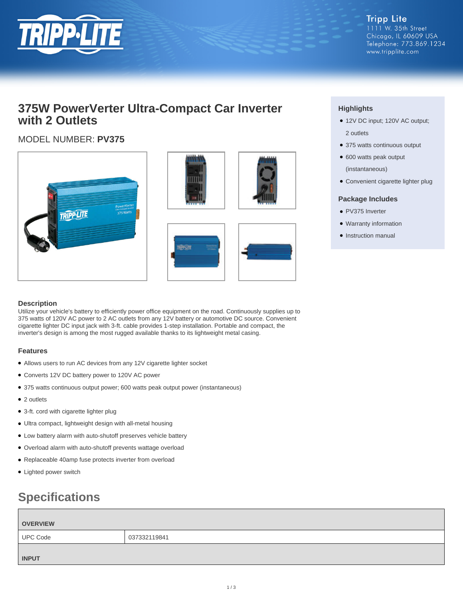

**Tripp Lite** 1111 W. 35th Street Chicago, IL 60609 USA Telephone: 773.869.1234 www.tripplite.com

## **375W PowerVerter Ultra-Compact Car Inverter with 2 Outlets**

### MODEL NUMBER: **PV375**



#### **Highlights**

- 12V DC input; 120V AC output; 2 outlets
- 375 watts continuous output
- 600 watts peak output (instantaneous)
- Convenient cigarette lighter plug

#### **Package Includes**

- PV375 Inverter
- Warranty information
- Instruction manual

#### **Description**

Utilize your vehicle's battery to efficiently power office equipment on the road. Continuously supplies up to 375 watts of 120V AC power to 2 AC outlets from any 12V battery or automotive DC source. Convenient cigarette lighter DC input jack with 3-ft. cable provides 1-step installation. Portable and compact, the inverter's design is among the most rugged available thanks to its lightweight metal casing.

#### **Features**

- Allows users to run AC devices from any 12V cigarette lighter socket
- Converts 12V DC battery power to 120V AC power
- 375 watts continuous output power; 600 watts peak output power (instantaneous)
- 2 outlets
- 3-ft. cord with cigarette lighter plug
- Ultra compact, lightweight design with all-metal housing
- Low battery alarm with auto-shutoff preserves vehicle battery
- Overload alarm with auto-shutoff prevents wattage overload
- Replaceable 40amp fuse protects inverter from overload
- Lighted power switch

# **Specifications**

| <b>OVERVIEW</b> |              |  |
|-----------------|--------------|--|
| <b>UPC Code</b> | 037332119841 |  |
| <b>INPUT</b>    |              |  |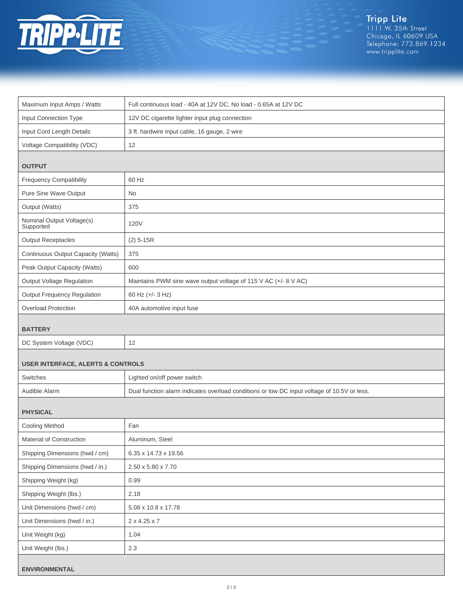

| Maximum Input Amps / Watts                   | Full continuous load - 40A at 12V DC, No load - 0.65A at 12V DC                             |  |
|----------------------------------------------|---------------------------------------------------------------------------------------------|--|
| Input Connection Type                        | 12V DC cigarette lighter input plug connection                                              |  |
| Input Cord Length Details                    | 3 ft. hardwire input cable, 16 gauge, 2 wire                                                |  |
| Voltage Compatibility (VDC)                  | 12                                                                                          |  |
|                                              |                                                                                             |  |
| <b>OUTPUT</b>                                |                                                                                             |  |
| <b>Frequency Compatibility</b>               | 60 Hz                                                                                       |  |
| Pure Sine Wave Output                        | <b>No</b>                                                                                   |  |
| Output (Watts)                               | 375                                                                                         |  |
| Nominal Output Voltage(s)<br>Supported       | 120V                                                                                        |  |
| <b>Output Receptacles</b>                    | $(2)$ 5-15R                                                                                 |  |
| Continuous Output Capacity (Watts)           | 375                                                                                         |  |
| Peak Output Capacity (Watts)                 | 600                                                                                         |  |
| <b>Output Voltage Regulation</b>             | Maintains PWM sine wave output voltage of 115 V AC (+/- 8 V AC)                             |  |
| <b>Output Frequency Regulation</b>           | 60 Hz (+/- 3 Hz)                                                                            |  |
| <b>Overload Protection</b>                   | 40A automotive input fuse                                                                   |  |
| <b>BATTERY</b>                               |                                                                                             |  |
| DC System Voltage (VDC)                      | 12                                                                                          |  |
| <b>USER INTERFACE, ALERTS &amp; CONTROLS</b> |                                                                                             |  |
| Switches                                     | Lighted on/off power switch                                                                 |  |
| Audible Alarm                                | Dual function alarm indicates overload conditions or low DC input voltage of 10.5V or less. |  |
| <b>PHYSICAL</b>                              |                                                                                             |  |
| <b>Cooling Method</b>                        | Fan                                                                                         |  |
| Material of Construction                     | Aluminum, Steel                                                                             |  |
| Shipping Dimensions (hwd / cm)               | 6.35 x 14.73 x 19.56                                                                        |  |
| Shipping Dimensions (hwd / in.)              | 2.50 x 5.80 x 7.70                                                                          |  |
| Shipping Weight (kg)                         | 0.99                                                                                        |  |
| Shipping Weight (lbs.)                       | 2.18                                                                                        |  |
| Unit Dimensions (hwd / cm)                   | 5.08 x 10.8 x 17.78                                                                         |  |
| Unit Dimensions (hwd / in.)                  | 2 x 4.25 x 7                                                                                |  |
| Unit Weight (kg)                             | 1.04                                                                                        |  |
| Unit Weight (lbs.)                           | 2.3                                                                                         |  |
| <b>ENVIRONMENTAL</b>                         |                                                                                             |  |